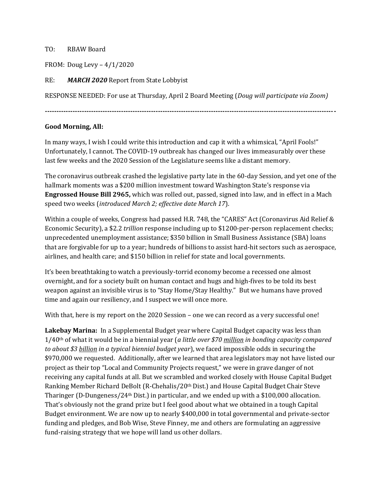## TO: RBAW Board

FROM: Doug Levy – 4/1/2020

RE: *MARCH 2020* Report from State Lobbyist

RESPONSE NEEDED: For use at Thursday, April 2 Board Meeting (*Doug will participate via Zoom)*

**------------------------------------------------------------------------------------------------------------------------------**

## **Good Morning, All:**

In many ways, I wish I could write this introduction and cap it with a whimsical, "April Fools!" Unfortunately, I cannot. The COVID-19 outbreak has changed our lives immeasurably over these last few weeks and the 2020 Session of the Legislature seems like a distant memory.

The coronavirus outbreak crashed the legislative party late in the 60-day Session, and yet one of the hallmark moments was a \$200 million investment toward Washington State's response via **Engrossed House Bill 2965,** which was rolled out, passed, signed into law, and in effect in a Mach speed two weeks (*introduced March 2; effective date March 17*).

Within a couple of weeks, Congress had passed H.R. 748, the "CARES" Act (Coronavirus Aid Relief & Economic Security), a \$2.2 *trillion* response including up to \$1200-per-person replacement checks; unprecedented unemployment assistance; \$350 billion in Small Business Assistance (SBA) loans that are forgivable for up to a year; hundreds of billions to assist hard-hit sectors such as aerospace, airlines, and health care; and \$150 billion in relief for state and local governments.

It's been breathtaking to watch a previously-torrid economy become a recessed one almost overnight, and for a society built on human contact and hugs and high-fives to be told its best weapon against an invisible virus is to "Stay Home/Stay Healthy." But we humans have proved time and again our resiliency, and I suspect we will once more.

With that, here is my report on the 2020 Session – one we can record as a very successful one!

**Lakebay Marina:** In a Supplemental Budget year where Capital Budget capacity was less than 1/40th of what it would be in a biennial year (*a little over \$70 million in bonding capacity compared to about \$3 billion in a typical biennial budget year*), we faced impossible odds in securing the \$970,000 we requested. Additionally, after we learned that area legislators may not have listed our project as their top "Local and Community Projects request," we were in grave danger of not receiving any capital funds at all. But we scrambled and worked closely with House Capital Budget Ranking Member Richard DeBolt (R-Chehalis/20th Dist.) and House Capital Budget Chair Steve Tharinger (D-Dungeness/24th Dist.) in particular, and we ended up with a \$100,000 allocation. That's obviously not the grand prize but I feel good about what we obtained in a tough Capital Budget environment. We are now up to nearly \$400,000 in total governmental and private-sector funding and pledges, and Bob Wise, Steve Finney, me and others are formulating an aggressive fund-raising strategy that we hope will land us other dollars.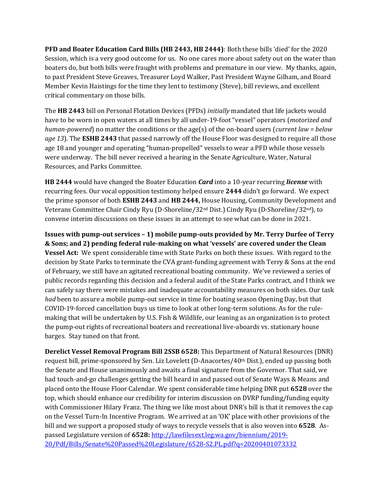**PFD and Boater Education Card Bills (HB 2443, HB 2444)**: Both these bills 'died' for the 2020 Session, which is a very good outcome for us. No one cares more about safety out on the water than boaters do, but both bills were fraught with problems and premature in our view. My thanks, again, to past President Steve Greaves, Treasurer Loyd Walker, Past President Wayne Gilham, and Board Member Kevin Haistings for the time they lent to testimony (Steve), bill reviews, and excellent critical commentary on those bills.

The **HB 2443** bill on Personal Flotation Devices (PFDs) *initially* mandated that life jackets would have to be worn in open waters at all times by all under-19-foot "vessel" operators (*motorized and human-powered*) no matter the conditions or the age(s) of the on-board users (*current law = below age 13*). The **ESHB 2443** that passed narrowly off the House Floor was designed to require all those age 18 and younger and operating "human-propelled" vessels to wear a PFD while those vessels were underway. The bill never received a hearing in the Senate Agriculture, Water, Natural Resources, and Parks Committee.

**HB 2444** would have changed the Boater Education *Card* into a 10-year recurring *license* with recurring fees. Our vocal opposition testimony helped ensure **2444** didn't go forward. We expect the prime sponsor of both **ESHB 2443** and **HB 2444,** House Housing, Community Development and Veterans Committee Chair Cindy Ryu (D-Shoreline/32nd Dist.) Cindy Ryu (D-Shoreline/32nd), to convene interim discussions on these issues in an attempt to see what can be done in 2021.

**Issues with pump-out services – 1) mobile pump-outs provided by Mr. Terry Durfee of Terry & Sons; and 2) pending federal rule-making on what 'vessels' are covered under the Clean Vessel Act:** We spent considerable time with State Parks on both these issues. With regard to the decision by State Parks to terminate the CVA grant-funding agreement with Terry & Sons at the end of February, we still have an agitated recreational boating community. We've reviewed a series of public records regarding this decision and a federal audit of the State Parks contract, and I think we can safely say there were mistakes and inadequate accountability measures on both sides. Our task *had* been to assure a mobile pump-out service in time for boating season Opening Day, but that COVID-19-forced cancellation buys us time to look at other long-term solutions. As for the rulemaking that will be undertaken by U.S. Fish & Wildlife, our leaning as an organization is to protect the pump-out rights of recreational boaters and recreational live-aboards vs. stationary house barges. Stay tuned on that front.

**Derelict Vessel Removal Program Bill 2SSB 6528:** This Department of Natural Resources (DNR) request bill, prime-sponsored by Sen. Liz Lovelett (D-Anacortes/40th Dist.), ended up passing both the Senate and House unanimously and awaits a final signature from the Governor. That said, we had touch-and-go challenges getting the bill heard in and passed out of Senate Ways & Means and placed onto the House Floor Calendar. We spent considerable time helping DNR put **6528** over the top, which should enhance our credibility for interim discussion on DVRP funding/funding equity with Commissioner Hilary Franz. The thing we like most about DNR's bill is that it removes the cap on the Vessel Turn-In Incentive Program. We arrived at an 'OK' place with other provisions of the bill and we support a proposed study of ways to recycle vessels that is also woven into **6528**. Aspassed Legislature version of **6528:** [http://lawfilesext.leg.wa.gov/biennium/2019-](http://lawfilesext.leg.wa.gov/biennium/2019-20/Pdf/Bills/Senate%20Passed%20Legislature/6528-S2.PL.pdf?q=20200401073332) [20/Pdf/Bills/Senate%20Passed%20Legislature/6528-S2.PL.pdf?q=20200401073332](http://lawfilesext.leg.wa.gov/biennium/2019-20/Pdf/Bills/Senate%20Passed%20Legislature/6528-S2.PL.pdf?q=20200401073332)